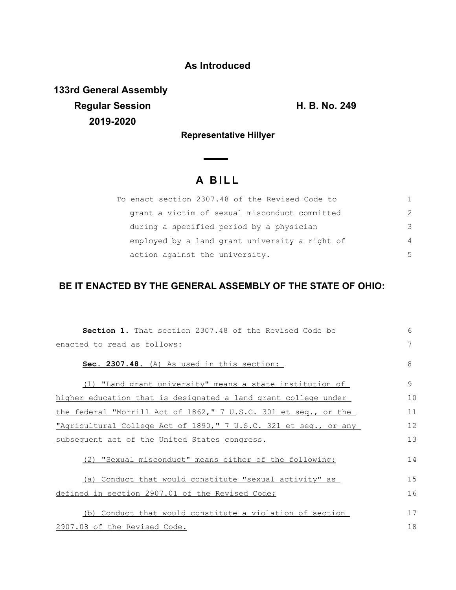## **As Introduced**

**133rd General Assembly Regular Session H. B. No. 249 2019-2020**

**Representative Hillyer**

 $\overline{\phantom{0}}$ 

## **A B I L L**

| To enact section 2307.48 of the Revised Code to |               |
|-------------------------------------------------|---------------|
| grant a victim of sexual misconduct committed   | $\mathcal{P}$ |
| during a specified period by a physician        | 3             |
| employed by a land grant university a right of  | 4             |
| action against the university.                  | .5            |

## **BE IT ENACTED BY THE GENERAL ASSEMBLY OF THE STATE OF OHIO:**

| <b>Section 1.</b> That section 2307.48 of the Revised Code be    | 6  |
|------------------------------------------------------------------|----|
| enacted to read as follows:                                      |    |
| Sec. 2307.48. (A) As used in this section:                       | 8  |
| (1) "Land grant university" means a state institution of         | 9  |
| higher education that is designated a land grant college under   | 10 |
| the federal "Morrill Act of 1862," 7 U.S.C. 301 et seq., or the  | 11 |
| "Agricultural College Act of 1890," 7 U.S.C. 321 et seg., or any |    |
| subsequent act of the United States congress.                    |    |
| (2) "Sexual misconduct" means either of the following:           | 14 |
| (a) Conduct that would constitute "sexual activity" as           | 15 |
| defined in section 2907.01 of the Revised Code;                  |    |
| (b) Conduct that would constitute a violation of section         | 17 |
| 2907.08 of the Revised Code.                                     | 18 |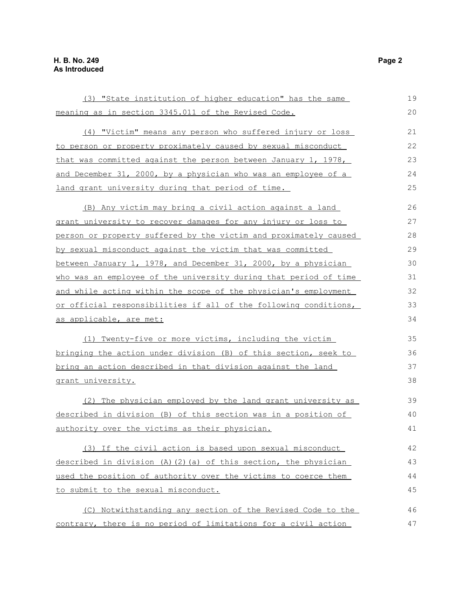| (3) "State institution of higher education" has the same         | 19 |
|------------------------------------------------------------------|----|
| meaning as in section 3345.011 of the Revised Code.              | 20 |
| (4) "Victim" means any person who suffered injury or loss        | 21 |
| to person or property proximately caused by sexual misconduct    | 22 |
| that was committed against the person between January 1, 1978,   | 23 |
| and December 31, 2000, by a physician who was an employee of a   | 24 |
| land grant university during that period of time.                | 25 |
| (B) Any victim may bring a civil action against a land           | 26 |
| grant university to recover damages for any injury or loss to    | 27 |
| person or property suffered by the victim and proximately caused | 28 |
| by sexual misconduct against the victim that was committed       | 29 |
| between January 1, 1978, and December 31, 2000, by a physician   | 30 |
| who was an employee of the university during that period of time | 31 |
| and while acting within the scope of the physician's employment  | 32 |
| or official responsibilities if all of the following conditions, | 33 |
| as applicable, are met:                                          | 34 |
| (1) Twenty-five or more victims, including the victim            | 35 |
| bringing the action under division (B) of this section, seek to  |    |
| bring an action described in that division against the land      | 37 |
| grant university.                                                | 38 |
| (2) The physician employed by the land grant university as       | 39 |
| described in division (B) of this section was in a position of   | 40 |
| authority over the victims as their physician.                   | 41 |
| (3) If the civil action is based upon sexual misconduct          | 42 |
| described in division (A)(2)(a) of this section, the physician   | 43 |
| used the position of authority over the victims to coerce them   |    |
| to submit to the sexual misconduct.                              | 45 |
| (C) Notwithstanding any section of the Revised Code to the       | 46 |
| contrary, there is no period of limitations for a civil action   | 47 |